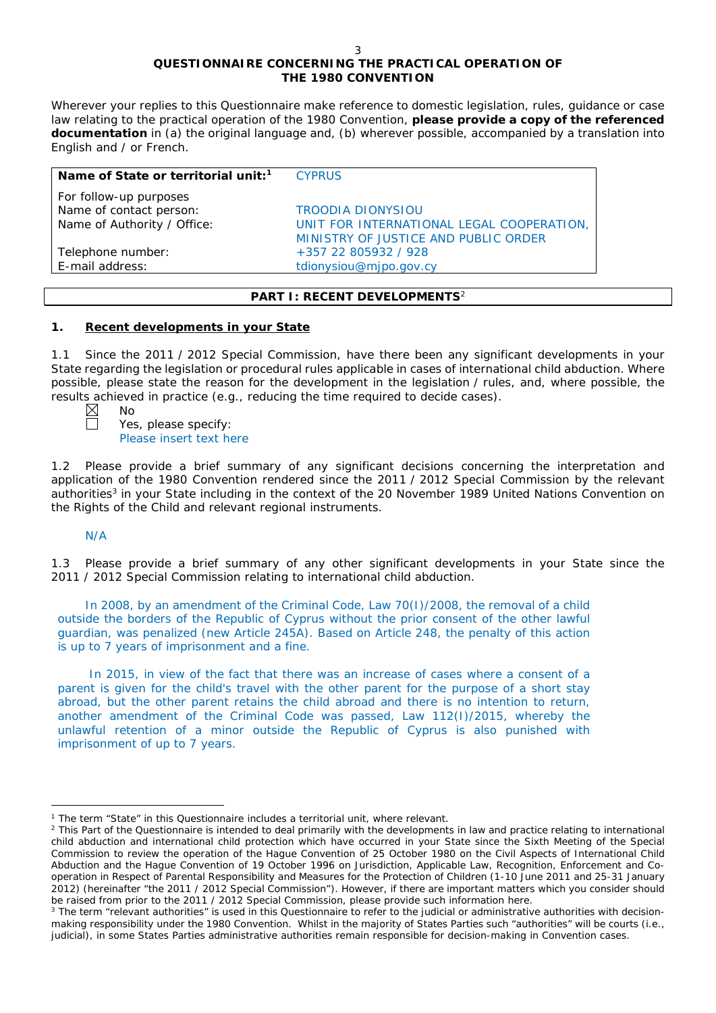# **QUESTIONNAIRE CONCERNING THE PRACTICAL OPERATION OF THE 1980 CONVENTION**

*Wherever your replies to this Questionnaire make reference to domestic legislation, rules, guidance or case*  law relating to the practical operation of the 1980 Convention, please provide a copy of the referenced *documentation in (a) the original language and, (b) wherever possible, accompanied by a translation into English and / or French.* 

| <b>CYPRUS</b>                             |
|-------------------------------------------|
|                                           |
| <b>TROODIA DIONYSIOU</b>                  |
| UNIT FOR INTERNATIONAL LEGAL COOPERATION, |
| MINISTRY OF JUSTICE AND PUBLIC ORDER      |
| +357 22 805932 / 928                      |
| tdionysiou@mjpo.gov.cy                    |
|                                           |

## **PART I: RECENT DEVELOPMENTS**<sup>2</sup>

# **1. Recent developments in your State**

1.1 Since the 2011 / 2012 Special Commission, have there been any significant developments in your State regarding the legislation or procedural rules applicable in cases of international child abduction. Where possible, please state the reason for the development in the legislation / rules, and, where possible, the results achieved in practice (*e.g.*, reducing the time required to decide cases).

No

Yes, please specify: Please insert text here

1.2 Please provide a brief summary of any significant decisions concerning the interpretation and application of the 1980 Convention rendered since the 2011 / 2012 Special Commission by the relevant authorities<sup>3</sup> in your State including in the context of the 20 November 1989 United Nations Convention on the Rights of the Child and relevant regional instruments.

N/A

 $\overline{a}$ 

1.3 Please provide a brief summary of any other significant developments in your State since the 2011 / 2012 Special Commission relating to international child abduction.

In 2008, by an amendment of the Criminal Code, Law 70(I)/2008, the removal of a child outside the borders of the Republic of Cyprus without the prior consent of the other lawful guardian, was penalized (new Article 245A). Based on Article 248, the penalty of this action is up to 7 years of imprisonment and a fine.

In 2015, in view of the fact that there was an increase of cases where a consent of a parent is given for the child's travel with the other parent for the purpose of a short stay abroad, but the other parent retains the child abroad and there is no intention to return, another amendment of the Criminal Code was passed, Law 112(I)/2015, whereby the unlawful retention of a minor outside the Republic of Cyprus is also punished with imprisonment of up to 7 years.

<sup>1</sup> The term "State" in this Questionnaire includes a territorial unit, where relevant.

<sup>&</sup>lt;sup>2</sup> This Part of the Questionnaire is intended to deal primarily with the developments in law and practice relating to international child abduction and international child protection which have occurred in your State since the Sixth Meeting of the Special Commission to review the operation of the *Hague Convention of 25 October 1980 on the Civil Aspects of International Child Abduction* and the *Hague Convention of 19 October 1996 on Jurisdiction, Applicable Law, Recognition, Enforcement and Cooperation in Respect of Parental Responsibility and Measures for the Protection of Children* (1-10 June 2011 and 25-31 January 2012) (hereinafter "the 2011 / 2012 Special Commission"). However, if there are important matters which you consider should be raised from *prior to* the 2011 / 2012 Special Commission, please provide such information here.

<sup>&</sup>lt;sup>3</sup> The term "relevant authorities" is used in this Questionnaire to refer to the judicial or administrative authorities with decisionmaking responsibility under the 1980 Convention. Whilst in the majority of States Parties such "authorities" will be courts (*i.e.*, judicial), in some States Parties administrative authorities remain responsible for decision-making in Convention cases.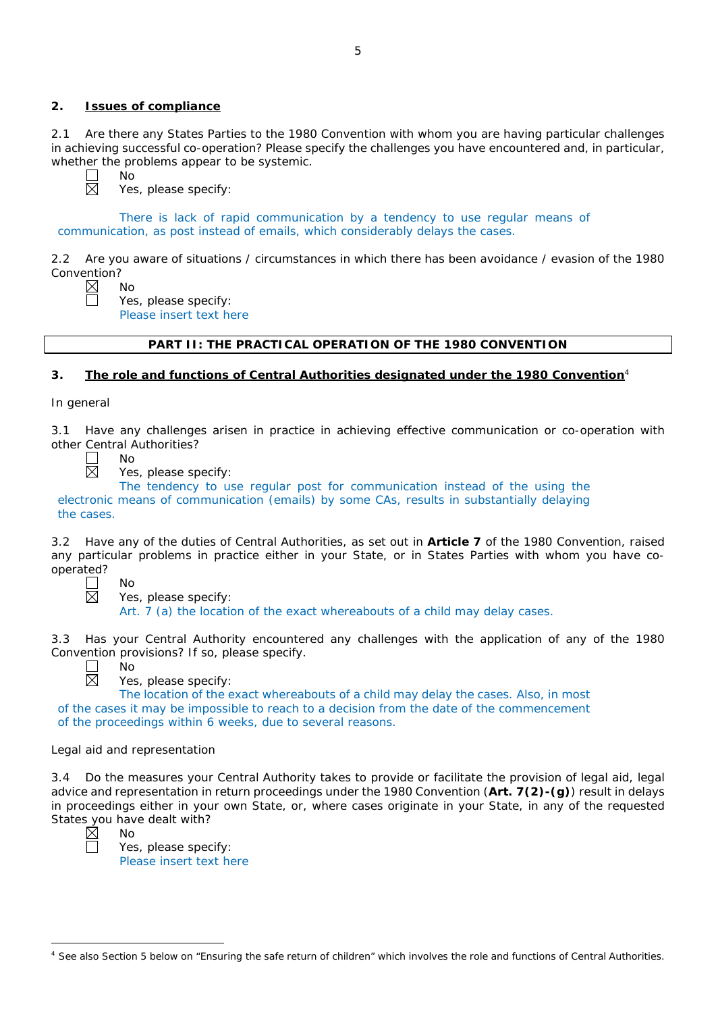# **2. Issues of compliance**

No

No

2.1 Are there any States Parties to the 1980 Convention with whom you are having particular challenges in achieving successful co-operation? Please specify the challenges you have encountered and, in particular, whether the problems appear to be systemic.

Yes, please specify:

There is lack of rapid communication by a tendency to use regular means of communication, as post instead of emails, which considerably delays the cases.

2.2 Are you aware of situations / circumstances in which there has been avoidance / evasion of the 1980 Convention?

Yes, please specify: Please insert text here

# **PART II: THE PRACTICAL OPERATION OF THE 1980 CONVENTION**

# **3. The role and functions of Central Authorities designated under the 1980 Convention**<sup>4</sup>

*In general*

3.1 Have any challenges arisen in practice in achieving effective communication or co-operation with other Central Authorities?

No

No

No

Yes, please specify:

The tendency to use regular post for communication instead of the using the electronic means of communication (emails) by some CAs, results in substantially delaying the cases.

3.2 Have any of the duties of Central Authorities, as set out in **Article 7** of the 1980 Convention, raised any particular problems in practice either in your State, or in States Parties with whom you have cooperated?

 $\Box$  $\boxtimes$ 

Yes, please specify:

Art. 7 (a) the location of the exact whereabouts of a child may delay cases.

3.3 Has your Central Authority encountered any challenges with the application of any of the 1980 Convention provisions? If so, please specify.



Yes, please specify:

The location of the exact whereabouts of a child may delay the cases. Also, in most of the cases it may be impossible to reach to a decision from the date of the commencement of the proceedings within 6 weeks, due to several reasons.

## *Legal aid and representation*

3.4 Do the measures your Central Authority takes to provide or facilitate the provision of legal aid, legal advice and representation in return proceedings under the 1980 Convention (**Art. 7(2)-(g)**) result in delays in proceedings either in your own State, or, where cases originate in your State, in any of the requested States you have dealt with?



No Yes, please specify: Please insert text here

| <sup>4</sup> See also Section 5 below on "Ensuring the safe return of children" which involves the role and functions of Central Authorities. |  |  |
|-----------------------------------------------------------------------------------------------------------------------------------------------|--|--|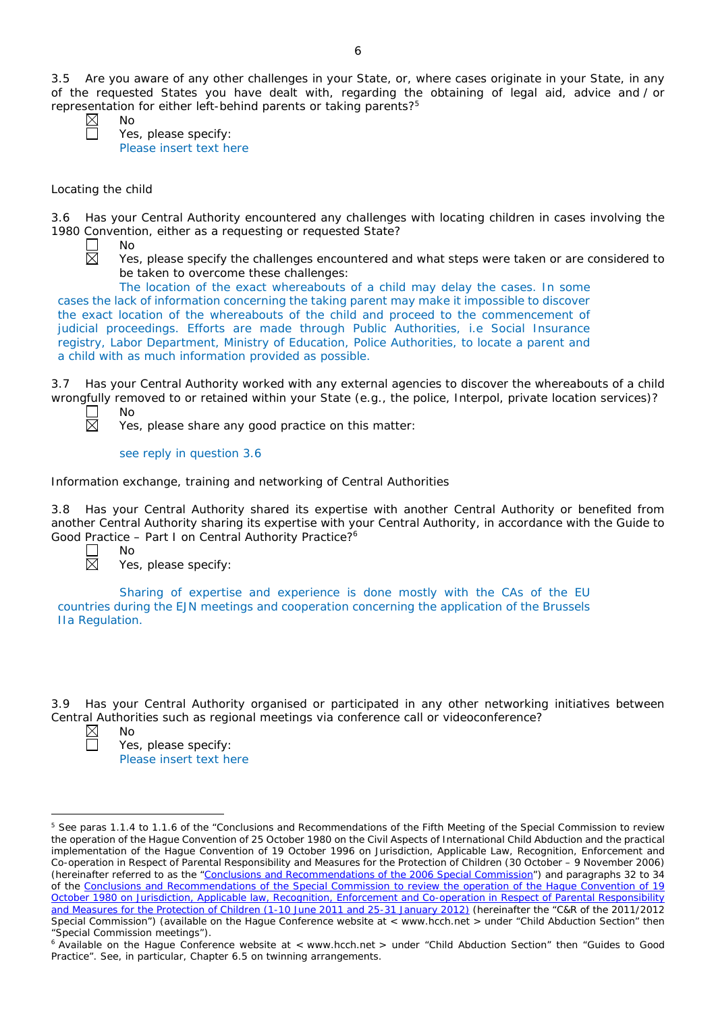3.5 Are you aware of any other challenges in your State, or, where cases originate in your State, in any of the requested States you have dealt with, regarding the obtaining of legal aid, advice and / or representation for either left-behind parents or taking parents?5

No

No

Yes, please specify: Please insert text here

## *Locating the child*

3.6 Has your Central Authority encountered any challenges with locating children in cases involving the 1980 Convention, either as a requesting or requested State?



Yes, please specify the challenges encountered and what steps were taken or are considered to be taken to overcome these challenges:

The location of the exact whereabouts of a child may delay the cases. In some cases the lack of information concerning the taking parent may make it impossible to discover the exact location of the whereabouts of the child and proceed to the commencement of judicial proceedings. Efforts are made through Public Authorities, i.e Social Insurance registry, Labor Department, Ministry of Education, Police Authorities, to locate a parent and a child with as much information provided as possible.

3.7 Has your Central Authority worked with any external agencies to discover the whereabouts of a child wrongfully removed to or retained within your State (*e.g.*, the police, Interpol, private location services)?

岗

No

No

Yes, please share any good practice on this matter:

see reply in question 3.6

#### *Information exchange, training and networking of Central Authorities*

3.8 Has your Central Authority shared its expertise with another Central Authority or benefited from another Central Authority sharing its expertise with your Central Authority, in accordance with the Guide to Good Practice – Part I on Central Authority Practice?6



Yes, please specify:

Sharing of expertise and experience is done mostly with the CAs of the EU countries during the EJN meetings and cooperation concerning the application of the Brussels IIa Regulation.

3.9 Has your Central Authority organised or participated in any other networking initiatives between Central Authorities such as regional meetings via conference call or videoconference? No



 $\overline{a}$ 

Yes, please specify: Please insert text here

<sup>&</sup>lt;sup>5</sup> See paras 1.1.4 to 1.1.6 of the "Conclusions and Recommendations of the Fifth Meeting of the Special Commission to review the operation of the *Hague Convention of 25 October 1980 on the Civil Aspects of International Child Abduction* and the practical implementation of the *Hague Convention of 19 October 1996 on Jurisdiction, Applicable Law, Recognition, Enforcement and Co-operation in Respect of Parental Responsibility and Measures for the Protection of Children* (30 October – 9 November 2006) (hereinafter referred to as the ["Conclusions and Recommendations of the 2006 Special Commission"](https://assets.hcch.net/upload/concl28sc5_e.pdf)) and paragraphs 32 to 34 of the [Conclusions and Recommendations of the Special Commission](https://assets.hcch.net/upload/wop/concl28sc6_e.pdf) to review the operation of the Hague Convention of *19 October 1980 on Jurisdiction, Applicable law, [Recognition, Enforcement and Co-operation in Respect of Parental Responsibility](https://assets.hcch.net/upload/wop/concl28sc6_e.pdf)  [and Measures for the Protection of Children](https://assets.hcch.net/upload/wop/concl28sc6_e.pdf)* (1-10 June 2011 and 25-31 January 2012) (hereinafter the "C&R of the 2011/2012 Special Commission") (available on the Hague Conference website at < www.hcch.net > under "Child Abduction Section" then "Special Commission meetings").

<sup>&</sup>lt;sup>6</sup> Available on the Hague Conference website at < www.hcch.net > under "Child Abduction Section" then "Guides to Good Practice". See, in particular, Chapter 6.5 on twinning arrangements.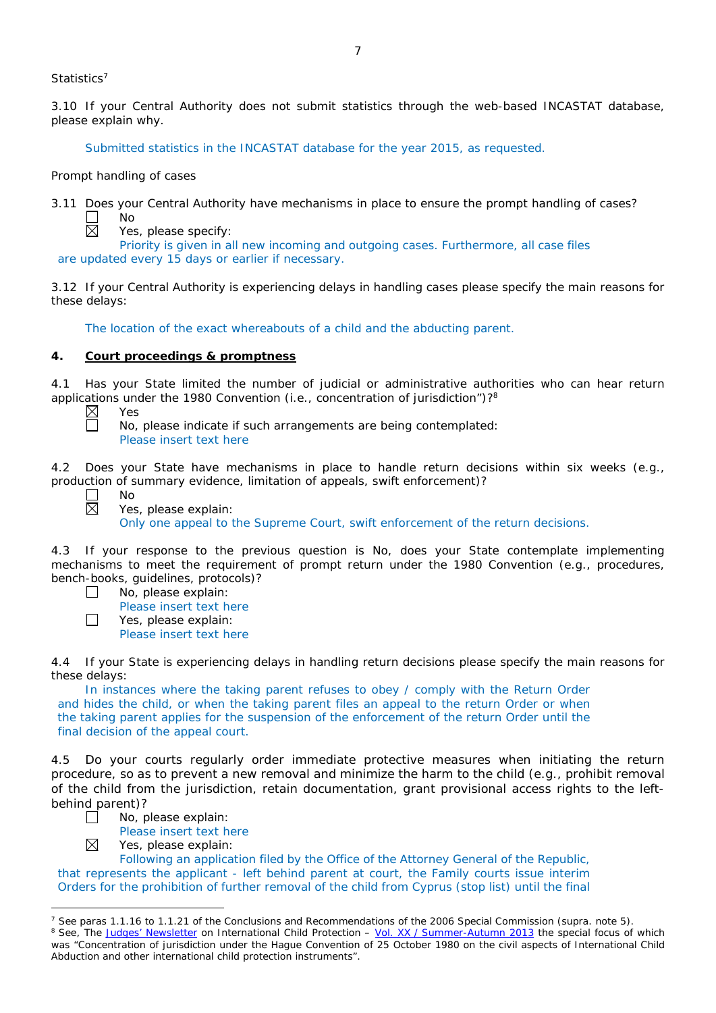*Statistics*<sup>7</sup>

3.10 If your Central Authority does not submit statistics through the web-based INCASTAT database, please explain why.

Submitted statistics in the INCASTAT database for the year 2015, as requested.

#### *Prompt handling of cases*

No

3.11 Does your Central Authority have mechanisms in place to ensure the prompt handling of cases?

区

Yes, please specify:

Priority is given in all new incoming and outgoing cases. Furthermore, all case files are updated every 15 days or earlier if necessary.

3.12 If your Central Authority is experiencing delays in handling cases please specify the main reasons for these delays:

The location of the exact whereabouts of a child and the abducting parent.

## **4. Court proceedings & promptness**

4.1 Has your State limited the number of judicial or administrative authorities who can hear return applications under the 1980 Convention (*i.e.*, concentration of jurisdiction")?8

Yes No, please indicate if such arrangements are being contemplated: Please insert text here

4.2 Does your State have mechanisms in place to handle return decisions within six weeks (*e.g.*, production of summary evidence, limitation of appeals, swift enforcement)?

 $\overline{a}$ 

No

Yes, please explain:

Only one appeal to the Supreme Court, swift enforcement of the return decisions.

4.3 If your response to the previous question is No, does your State contemplate implementing mechanisms to meet the requirement of prompt return under the 1980 Convention (*e.g.*, procedures, bench-books, guidelines, protocols)?

- $\Box$ No, please explain:
- Please insert text here  $\Box$ 
	- Yes, please explain: Please insert text here

4.4 If your State is experiencing delays in handling return decisions please specify the main reasons for these delays:

In instances where the taking parent refuses to obey / comply with the Return Order and hides the child, or when the taking parent files an appeal to the return Order or when the taking parent applies for the suspension of the enforcement of the return Order until the final decision of the appeal court.

4.5 Do your courts regularly order immediate protective measures when initiating the return procedure, so as to prevent a new removal and minimize the harm to the child (*e.g.*, prohibit removal of the child from the jurisdiction, retain documentation, grant provisional access rights to the leftbehind parent)?



Please insert text here

 $\boxtimes$ Yes, please explain:

Following an application filed by the Office of the Attorney General of the Republic, that represents the applicant - left behind parent at court, the Family courts issue interim Orders for the prohibition of further removal of the child from Cyprus (stop list) until the final

<sup>7</sup> See paras 1.1.16 to 1.1.21 of the Conclusions and Recommendations of the 2006 Special Commission (*supra.* note 5). <sup>8</sup> See, *The [Judges' Newsletter](https://www.hcch.net/en/instruments/conventions/publications2/judges-newsletter)* on International Child Protection – Vol. XX / [Summer-Autumn 2013](https://assets.hcch.net/upload/newsletter/nl2013tome20en.pdf) the special focus of which was "Concentration of jurisdiction under the *Hague Convention of 25 October 1980 on the civil aspects of International Child Abduction* and other international child protection instruments".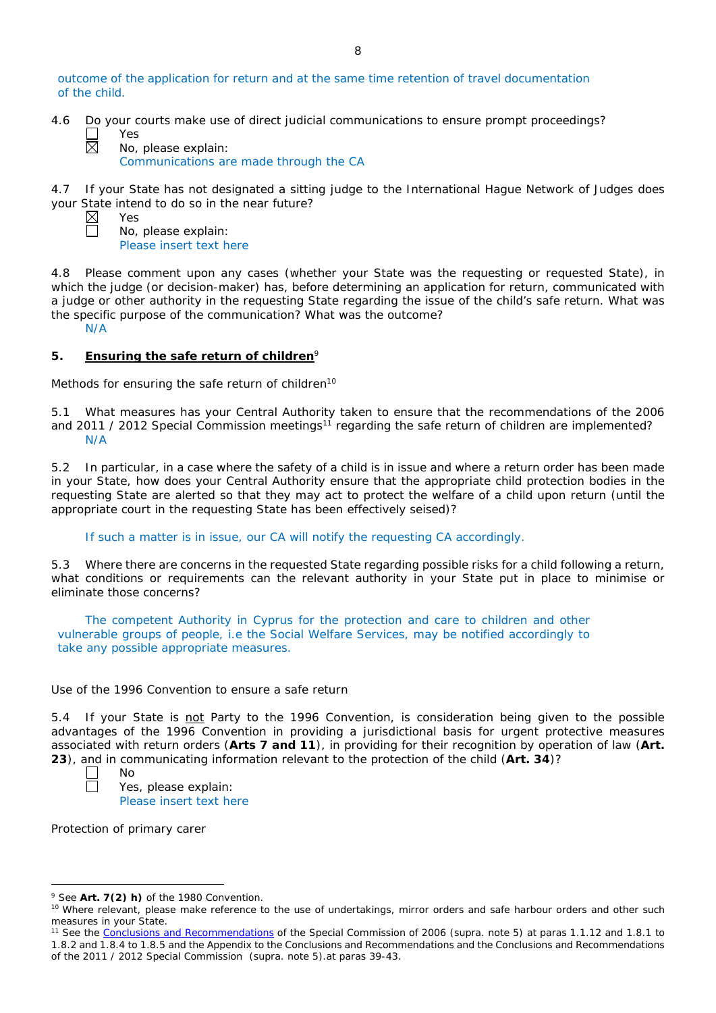outcome of the application for return and at the same time retention of travel documentation of the child.

4.6 Do your courts make use of direct judicial communications to ensure prompt proceedings?

Yes

Yes

No, please explain: Communications are made through the CA

4.7 If your State has not designated a sitting judge to the International Hague Network of Judges does your State intend to do so in the near future?

No, please explain: Please insert text here

4.8 Please comment upon any cases (whether your State was the requesting or requested State), in which the judge (or decision-maker) has, before determining an application for return, communicated with a judge or other authority in the requesting State regarding the issue of the child's safe return. What was the specific purpose of the communication? What was the outcome?

N/A

# **5. Ensuring the safe return of children**<sup>9</sup>

*Methods for ensuring the safe return of children*<sup>10</sup>

5.1 What measures has your Central Authority taken to ensure that the recommendations of the 2006 and 2011 / 2012 Special Commission meetings<sup>11</sup> regarding the safe return of children are implemented? N/A

5.2 In particular, in a case where the safety of a child is in issue and where a return order has been made in your State, how does your Central Authority ensure that the appropriate child protection bodies in the *requesting* State are alerted so that they may act to protect the welfare of a child upon return (until the appropriate court in the requesting State has been effectively seised)?

If such a matter is in issue, our CA will notify the requesting CA accordingly.

5.3 Where there are concerns in the requested State regarding possible risks for a child following a return, what conditions or requirements can the relevant authority in your State put in place to minimise or eliminate those concerns?

The competent Authority in Cyprus for the protection and care to children and other vulnerable groups of people, i.e the Social Welfare Services, may be notified accordingly to take any possible appropriate measures.

## *Use of the 1996 Convention to ensure a safe return*

5.4 If your State is not Party to the 1996 Convention, is consideration being given to the possible advantages of the 1996 Convention in providing a jurisdictional basis for urgent protective measures associated with return orders (**Arts 7 and 11**), in providing for their recognition by operation of law (**Art. 23**), and in communicating information relevant to the protection of the child (**Art. 34**)?



 $\overline{a}$ 

Yes, please explain: Please insert text here

*Protection of primary carer*

No

<sup>9</sup> See **Art. 7(2)** *h)* of the 1980 Convention.

<sup>&</sup>lt;sup>10</sup> Where relevant, please make reference to the use of undertakings, mirror orders and safe harbour orders and other such measures in your State.

<sup>11</sup> See the [Conclusions and Recommendations](https://assets.hcch.net/upload/concl28sc5_e.pdf) of the Special Commission of 2006 (*supra.* note 5) at paras 1.1.12 and 1.8.1 to 1.8.2 and 1.8.4 to 1.8.5 and the Appendix to the Conclusions and Recommendations and the [Conclusions and Recommendations](https://assets.hcch.net/upload/wop/concl28sc6_e.pdf)  of the 2011 / [2012 Special Commission](https://assets.hcch.net/upload/wop/concl28sc6_e.pdf) (*supra.* note 5).at paras 39-43.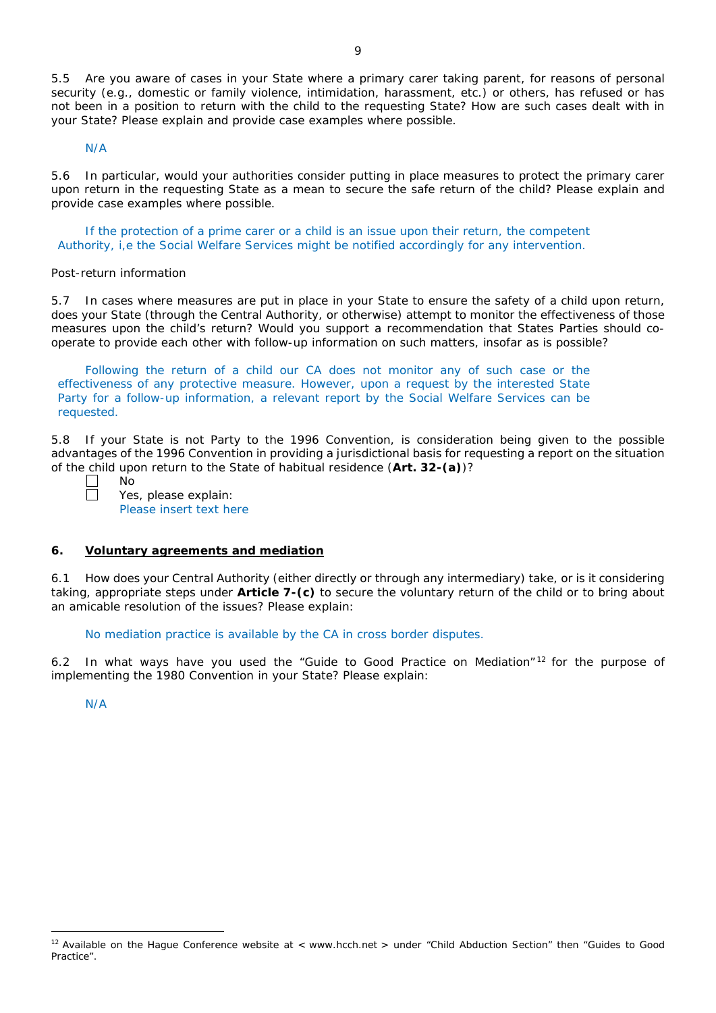5.5 Are you aware of cases in your State where a primary carer taking parent, for reasons of personal security (*e.g.*, domestic or family violence, intimidation, harassment, etc.) or others, has refused or has not been in a position to return with the child to the requesting State? How are such cases dealt with in your State? Please explain and provide case examples where possible.

N/A

5.6 In particular, would your authorities consider putting in place measures to protect the primary carer upon return in the requesting State as a mean to secure the safe return of the child? Please explain and provide case examples where possible.

If the protection of a prime carer or a child is an issue upon their return, the competent Authority, i,e the Social Welfare Services might be notified accordingly for any intervention.

#### *Post-return information*

5.7 In cases where measures are put in place in your State to ensure the safety of a child upon return, does your State (through the Central Authority, or otherwise) attempt to monitor the effectiveness of those measures upon the child's return? Would you support a recommendation that States Parties should cooperate to provide each other with follow-up information on such matters, insofar as is possible?

Following the return of a child our CA does not monitor any of such case or the effectiveness of any protective measure. However, upon a request by the interested State Party for a follow-up information, a relevant report by the Social Welfare Services can be requested.

5.8 If your State is not Party to the 1996 Convention, is consideration being given to the possible advantages of the 1996 Convention in providing a jurisdictional basis for requesting a report on the situation of the child upon return to the State of habitual residence (**Art. 32-(a)**)?

No

Yes, please explain: Please insert text here

#### **6. Voluntary agreements and mediation**

6.1 How does your Central Authority (either directly or through any intermediary) take, or is it considering taking, appropriate steps under **Article 7-(c)** to secure the voluntary return of the child or to bring about an amicable resolution of the issues? Please explain:

No mediation practice is available by the CA in cross border disputes.

6.2 In what ways have you used the "Guide to Good Practice on Mediation"<sup>12</sup> for the purpose of implementing the 1980 Convention in your State? Please explain:

N/A

 $12$  Available on the Hague Conference website at < www.hcch.net > under "Child Abduction Section" then "Guides to Good Practice".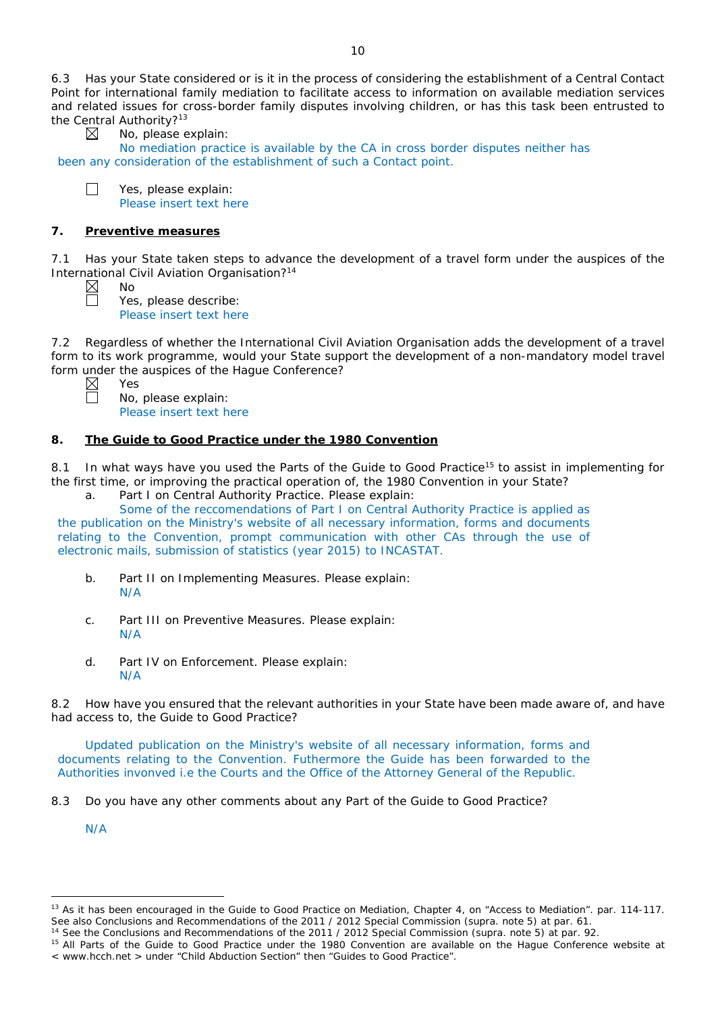6.3 Has your State considered or is it in the process of considering the establishment of a Central Contact Point for international family mediation to facilitate access to information on available mediation services and related issues for cross-border family disputes involving children, or has this task been entrusted to the Central Authority?<sup>13</sup><br> $\boxtimes$  No, please e

No, please explain:

No mediation practice is available by the CA in cross border disputes neither has been any consideration of the establishment of such a Contact point.

 $\Box$ Yes, please explain: Please insert text here

# **7. Preventive measures**

7.1 Has your State taken steps to advance the development of a travel form under the auspices of the International Civil Aviation Organisation?14

No Yes, please describe: Please insert text here

7.2 Regardless of whether the International Civil Aviation Organisation adds the development of a travel form to its work programme, would your State support the development of a non-mandatory model travel form under the auspices of the Hague Conference?

Yes

No, please explain: Please insert text here

# **8. The Guide to Good Practice under the 1980 Convention**

8.1 In what ways have you used the Parts of the Guide to Good Practice<sup>15</sup> to assist in implementing for the first time, or improving the practical operation of, the 1980 Convention in your State?

a. Part I on Central Authority Practice. Please explain:

Some of the reccomendations of Part I on Central Authority Practice is applied as the publication on the Ministry's website of all necessary information, forms and documents relating to the Convention, prompt communication with other CAs through the use of electronic mails, submission of statistics (year 2015) to INCASTAT.

- b. Part II on Implementing Measures. Please explain: N/A
- c. Part III on Preventive Measures. Please explain: N/A
- d. Part IV on Enforcement. Please explain: N/A

8.2 How have you ensured that the relevant authorities in your State have been made aware of, and have had access to, the Guide to Good Practice?

Updated publication on the Ministry's website of all necessary information, forms and documents relating to the Convention. Futhermore the Guide has been forwarded to the Authorities invonved i.e the Courts and the Office of the Attorney General of the Republic.

8.3 Do you have any other comments about any Part of the Guide to Good Practice?

N/A

<sup>&</sup>lt;sup>13</sup> As it has been encouraged in the Guide to Good Practice on Mediation, Chapter 4, on "Access to Mediation". par. 114-117. See also [Conclusions and Recommendations of the 2011](https://assets.hcch.net/upload/wop/concl28sc6_e.pdf) / 2012 Special Commission (*supra.* note 5) at par. 61.

<sup>14</sup> See the [Conclusions and Recommendations of the 2011](https://assets.hcch.net/upload/wop/concl28sc6_e.pdf) / 2012 Special Commission (*supra.* note 5) at par. 92.

<sup>&</sup>lt;sup>15</sup> All Parts of the Guide to Good Practice under the 1980 Convention are available on the Hague Conference website at < www.hcch.net > under "Child Abduction Section" then "Guides to Good Practice".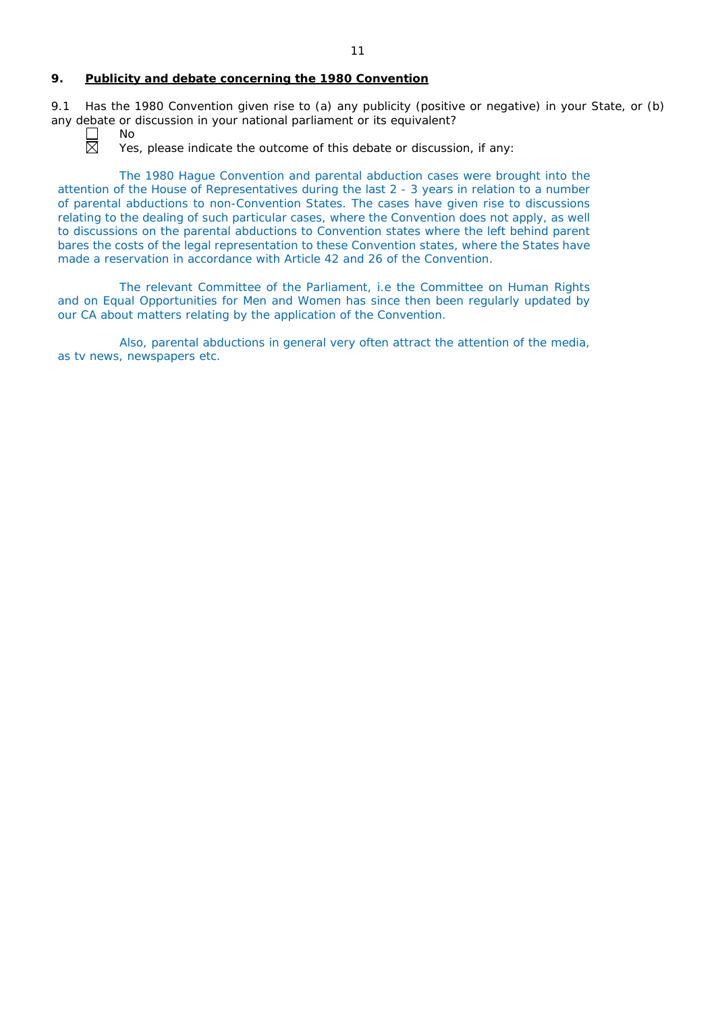#### **9. Publicity and debate concerning the 1980 Convention**

9.1 Has the 1980 Convention given rise to (a) any publicity (positive or negative) in your State, or (b) any debate or discussion in your national parliament or its equivalent?



No

Yes, please indicate the outcome of this debate or discussion, if any:

The 1980 Hague Convention and parental abduction cases were brought into the attention of the House of Representatives during the last 2 - 3 years in relation to a number of parental abductions to non-Convention States. The cases have given rise to discussions relating to the dealing of such particular cases, where the Convention does not apply, as well to discussions on the parental abductions to Convention states where the left behind parent bares the costs of the legal representation to these Convention states, where the States have made a reservation in accordance with Article 42 and 26 of the Convention.

The relevant Committee of the Parliament, i.e the Committee on Human Rights and on Equal Opportunities for Men and Women has since then been regularly updated by our CA about matters relating by the application of the Convention.

Also, parental abductions in general very often attract the attention of the media, as tv news, newspapers etc.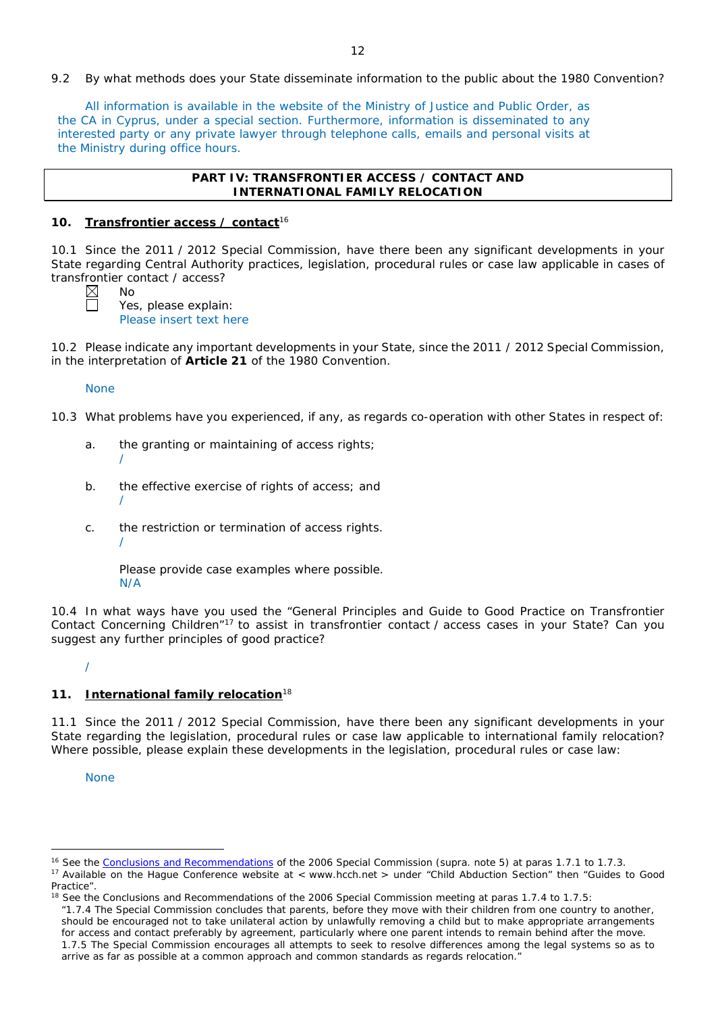## 9.2 By what methods does your State disseminate information to the public about the 1980 Convention?

All information is available in the website of the Ministry of Justice and Public Order, as the CA in Cyprus, under a special section. Furthermore, information is disseminated to any interested party or any private lawyer through telephone calls, emails and personal visits at the Ministry during office hours.

## **PART IV: TRANSFRONTIER ACCESS / CONTACT AND INTERNATIONAL FAMILY RELOCATION**

#### **10. Transfrontier access / contact**<sup>16</sup>

10.1 Since the 2011 / 2012 Special Commission, have there been any significant developments in your State regarding Central Authority practices, legislation, procedural rules or case law applicable in cases of transfrontier contact / access?

No Yes, please explain: Please insert text here

10.2 Please indicate any important developments in your State, since the 2011 / 2012 Special Commission, in the interpretation of **Article 21** of the 1980 Convention.

#### None

/

/

10.3 What problems have you experienced, if any, as regards co-operation with other States in respect of:

- a. the granting or maintaining of access rights; /
- b. the effective exercise of rights of access; and
- c. the restriction or termination of access rights.

Please provide case examples where possible. N/A

10.4 In what ways have you used the "General Principles and Guide to Good Practice on Transfrontier Contact Concerning Children"17 to assist in transfrontier contact / access cases in your State? Can you suggest any further principles of good practice?

/

## **11. International family relocation**<sup>18</sup>

11.1 Since the 2011 / 2012 Special Commission, have there been any significant developments in your State regarding the legislation, procedural rules or case law applicable to international family relocation? Where possible, please explain these developments in the legislation, procedural rules or case law:

**None** 

 $\overline{a}$ 

*"*1.7.4 The Special Commission concludes that parents, before they move with their children from one country to another, should be encouraged not to take unilateral action by unlawfully removing a child but to make appropriate arrangements for access and contact preferably by agreement, particularly where one parent intends to remain behind after the move. 1.7.5 The Special Commission encourages all attempts to seek to resolve differences among the legal systems so as to arrive as far as possible at a common approach and common standards as regards relocation."

<sup>16</sup> See the [Conclusions and Recommendations](https://assets.hcch.net/upload/concl28sc5_e.pdf) of the 2006 Special Commission (*supra.* note 5) at paras 1.7.1 to 1.7.3.

<sup>&</sup>lt;sup>17</sup> Available on the Hague Conference website at < www.hcch.net > under "Child Abduction Section" then "Guides to Good Practice".

 $18$  See the Conclusions and Recommendations of the 2006 Special Commission meeting at paras 1.7.4 to 1.7.5: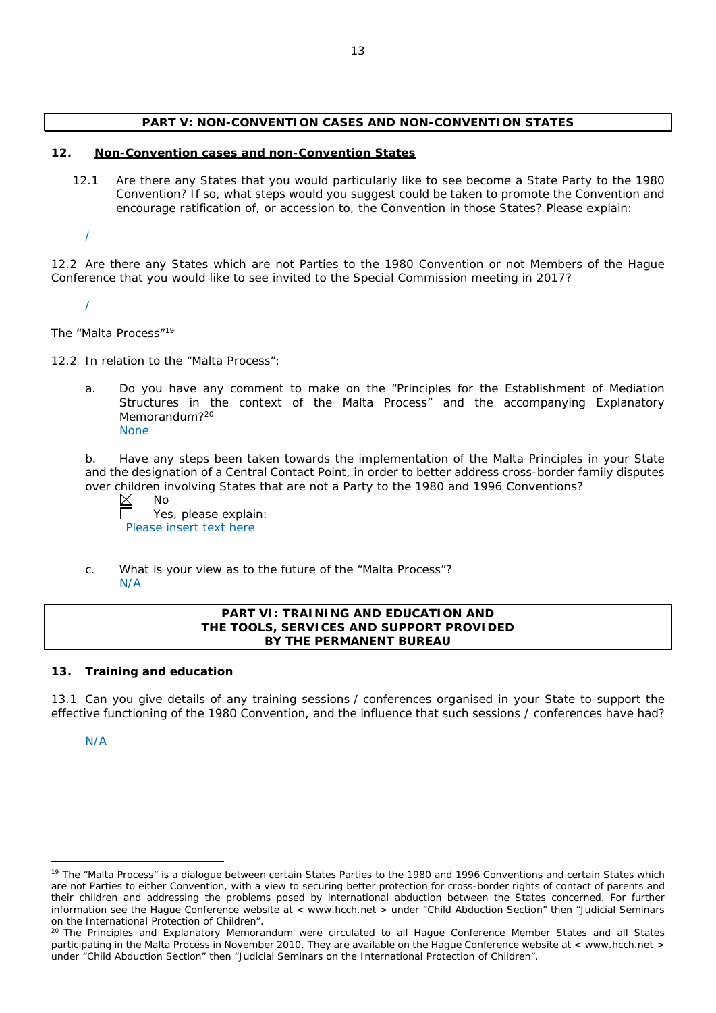# **PART V: NON-CONVENTION CASES AND NON-CONVENTION STATES**

## **12. Non-Convention cases and non-Convention States**

12.1 Are there any States that you would particularly like to see become a State Party to the 1980 Convention? If so, what steps would you suggest could be taken to promote the Convention and encourage ratification of, or accession to, the Convention in those States? Please explain:

/

12.2 Are there any States which are not Parties to the 1980 Convention or not Members of the Hague Conference that you would like to see invited to the Special Commission meeting in 2017?

/

*The "Malta Process"*<sup>19</sup>

12.2 In relation to the "Malta Process":

a. Do you have any comment to make on the "Principles for the Establishment of Mediation Structures in the context of the Malta Process" and the accompanying Explanatory Memorandum?<sup>20</sup> None

b. Have any steps been taken towards the implementation of the Malta Principles in your State and the designation of a Central Contact Point, in order to better address cross-border family disputes over children involving States that are not a Party to the 1980 and 1996 Conventions?

 $\boxtimes$ No

Yes, please explain: Please insert text here

c. What is your view as to the future of the "Malta Process"? N/A

# **PART VI: TRAINING AND EDUCATION AND THE TOOLS, SERVICES AND SUPPORT PROVIDED BY THE PERMANENT BUREAU**

## **13. Training and education**

13.1 Can you give details of any training sessions / conferences organised in your State to support the effective functioning of the 1980 Convention, and the influence that such sessions / conferences have had?

N/A

<sup>&</sup>lt;sup>19</sup> The "Malta Process" is a dialogue between certain States Parties to the 1980 and 1996 Conventions and certain States which are not Parties to either Convention, with a view to securing better protection for cross-border rights of contact of parents and their children and addressing the problems posed by international abduction between the States concerned. For further information see the Hague Conference website at < www.hcch.net > under "Child Abduction Section" then "Judicial Seminars on the International Protection of Children".

<sup>&</sup>lt;sup>20</sup> The Principles and Explanatory Memorandum were circulated to all Hague Conference Member States and all States participating in the Malta Process in November 2010. They are available on the Hague Conference website at < www.hcch.net > under "Child Abduction Section" then "Judicial Seminars on the International Protection of Children".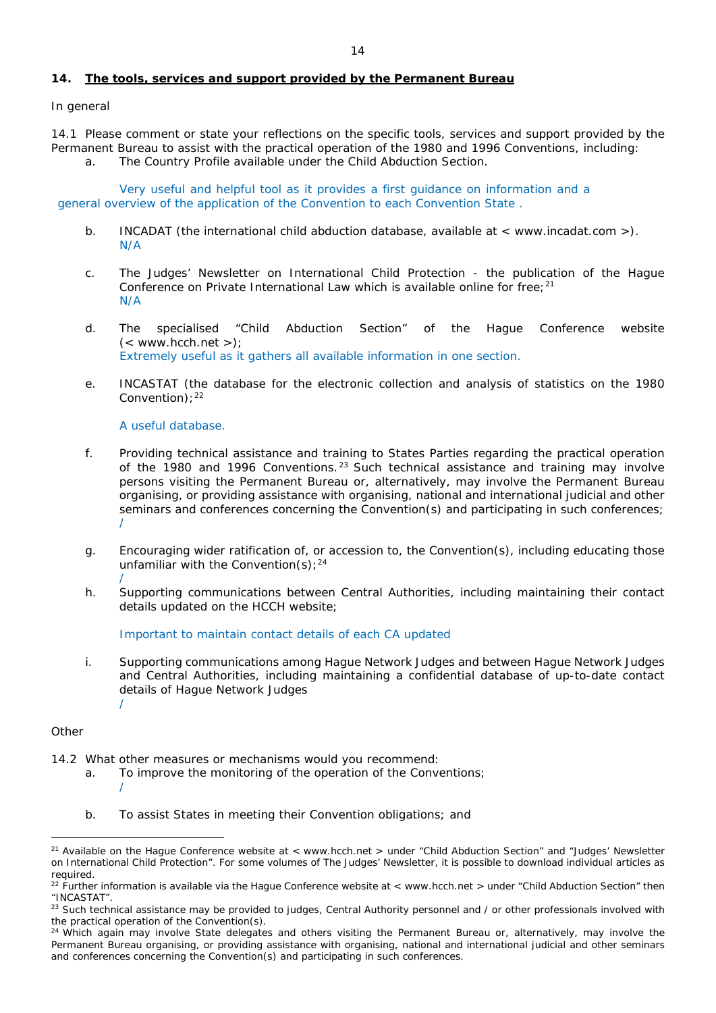# **14. The tools, services and support provided by the Permanent Bureau**

# *In general*

14.1 Please comment or state your reflections on the specific tools, services and support provided by the Permanent Bureau to assist with the practical operation of the 1980 and 1996 Conventions, including: a. The Country Profile available under the Child Abduction Section.

Very useful and helpful tool as it provides a first guidance on information and a general overview of the application of the Convention to each Convention State .

- b. INCADAT (the international child abduction database, available at < www.incadat.com >). N/A
- c. *The Judges' Newsletter* on International Child Protection the publication of the Hague Conference on Private International Law which is available online for free:  $21$ N/A
- d. The specialised "Child Abduction Section" of the Hague Conference website  $(<$  www.hcch.net >); Extremely useful as it gathers all available information in one section.
- e. INCASTAT (the database for the electronic collection and analysis of statistics on the 1980 Convention);<sup>22</sup>

## A useful database.

- f. Providing technical assistance and training to States Parties regarding the practical operation of the 1980 and 1996 Conventions.<sup>23</sup> Such technical assistance and training may involve persons visiting the Permanent Bureau or, alternatively, may involve the Permanent Bureau organising, or providing assistance with organising, national and international judicial and other seminars and conferences concerning the Convention(s) and participating in such conferences; /
- g. Encouraging wider ratification of, or accession to, the Convention(s), including educating those unfamiliar with the Convention(s);  $24$
- / h. Supporting communications between Central Authorities, including maintaining their contact details updated on the HCCH website;

Important to maintain contact details of each CA updated

i. Supporting communications among Hague Network Judges and between Hague Network Judges and Central Authorities, including maintaining a confidential database of up-to-date contact details of Hague Network Judges /

## *Other*

- 14.2 What other measures or mechanisms would you recommend:
	- a. To improve the monitoring of the operation of the Conventions; /
	- b. To assist States in meeting their Convention obligations; and

<sup>&</sup>lt;sup>21</sup> Available on the Hague Conference website at < www.hcch.net > under "Child Abduction Section" and "Judges' Newsletter on International Child Protection". For some volumes of *The Judges' Newsletter*, it is possible to download individual articles as required.

 $22$  Further information is available via the Hague Conference website at < www.hcch.net > under "Child Abduction Section" then "INCASTAT".

<sup>&</sup>lt;sup>23</sup> Such technical assistance may be provided to judges, Central Authority personnel and / or other professionals involved with the practical operation of the Convention(s).

 $24$  Which again may involve State delegates and others visiting the Permanent Bureau or, alternatively, may involve the Permanent Bureau organising, or providing assistance with organising, national and international judicial and other seminars and conferences concerning the Convention(s) and participating in such conferences.